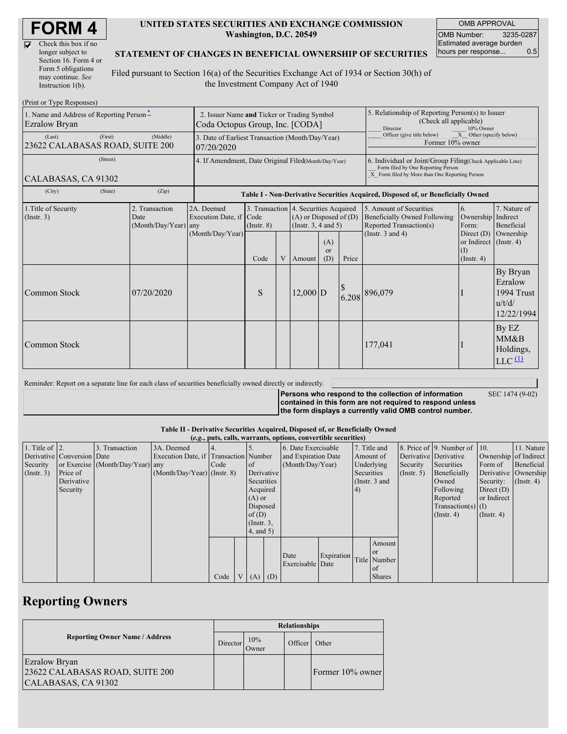M

| Check this box if no  |
|-----------------------|
| longer subject to     |
| Section 16. Form 4 or |
| Form 5 obligations    |
| may continue. See     |
| Instruction 1(b).     |

#### **UNITED STATES SECURITIES AND EXCHANGE COMMISSION Washington, D.C. 20549**

OMB APPROVAL OMB Number: 3235-0287 Estimated average burden hours per response... 0.5

### **STATEMENT OF CHANGES IN BENEFICIAL OWNERSHIP OF SECURITIES**

Filed pursuant to Section 16(a) of the Securities Exchange Act of 1934 or Section 30(h) of the Investment Company Act of 1940

| (Print or Type Responses)                                 |                                                                                |                                       |                                                                                  |   |                                                                                                 |                                                                                                     |                                                                                                                                                    |                                                                                           |                                                                   |                                                           |
|-----------------------------------------------------------|--------------------------------------------------------------------------------|---------------------------------------|----------------------------------------------------------------------------------|---|-------------------------------------------------------------------------------------------------|-----------------------------------------------------------------------------------------------------|----------------------------------------------------------------------------------------------------------------------------------------------------|-------------------------------------------------------------------------------------------|-------------------------------------------------------------------|-----------------------------------------------------------|
| 1. Name and Address of Reporting Person*<br>Ezralow Bryan | 2. Issuer Name and Ticker or Trading Symbol<br>Coda Octopus Group, Inc. [CODA] |                                       |                                                                                  |   |                                                                                                 | 5. Relationship of Reporting Person(s) to Issuer<br>(Check all applicable)<br>Director<br>10% Owner |                                                                                                                                                    |                                                                                           |                                                                   |                                                           |
| (First)<br>(Last)<br>23622 CALABASAS ROAD, SUITE 200      | 3. Date of Earliest Transaction (Month/Day/Year)<br>07/20/2020                 |                                       |                                                                                  |   |                                                                                                 | $\overline{X}$ Other (specify below)<br>Officer (give title below)<br>Former 10% owner              |                                                                                                                                                    |                                                                                           |                                                                   |                                                           |
| (Street)<br>CALABASAS, CA 91302                           | 4. If Amendment, Date Original Filed(Month/Day/Year)                           |                                       |                                                                                  |   |                                                                                                 |                                                                                                     | 6. Individual or Joint/Group Filing(Check Applicable Line)<br>Form filed by One Reporting Person<br>X Form filed by More than One Reporting Person |                                                                                           |                                                                   |                                                           |
| (City)<br>(State)                                         | (Zip)                                                                          |                                       | Table I - Non-Derivative Securities Acquired, Disposed of, or Beneficially Owned |   |                                                                                                 |                                                                                                     |                                                                                                                                                    |                                                                                           |                                                                   |                                                           |
| 1. Title of Security<br>(Insert. 3)                       | 2. Transaction<br>Date<br>(Month/Day/Year) any                                 | 2A. Deemed<br>Execution Date, if Code | $($ Instr. $8)$                                                                  |   | 3. Transaction 4. Securities Acquired<br>$(A)$ or Disposed of $(D)$<br>(Instr. $3, 4$ and $5$ ) |                                                                                                     |                                                                                                                                                    | 5. Amount of Securities<br><b>Beneficially Owned Following</b><br>Reported Transaction(s) | <sup>6.</sup><br>Ownership<br>Form:                               | 7. Nature of<br>Indirect<br>Beneficial                    |
|                                                           |                                                                                | (Month/Day/Year)                      | Code                                                                             | V | Amount                                                                                          | (A)<br><sub>or</sub><br>(D)                                                                         | Price                                                                                                                                              | (Instr. $3$ and $4$ )                                                                     | Direct $(D)$<br>or Indirect (Instr. 4)<br>(I)<br>$($ Instr. 4 $)$ | Ownership                                                 |
| Common Stock                                              | 07/20/2020                                                                     |                                       | S                                                                                |   | $12,000$ D                                                                                      |                                                                                                     | 6.208                                                                                                                                              | 896,079                                                                                   |                                                                   | By Bryan<br>Ezralow<br>1994 Trust<br>u/t/d/<br>12/22/1994 |
| Common Stock                                              |                                                                                |                                       |                                                                                  |   |                                                                                                 |                                                                                                     |                                                                                                                                                    | 177,041                                                                                   |                                                                   | By EZ<br>MM&B<br>Holdings,<br>$LLC$ <sup>(1)</sup>        |

Reminder: Report on a separate line for each class of securities beneficially owned directly or indirectly.

**Persons who respond to the collection of information contained in this form are not required to respond unless the form displays a currently valid OMB control number.** SEC 1474 (9-02)

### **Table II - Derivative Securities Acquired, Disposed of, or Beneficially Owned**

| (e.g., puts, calls, warrants, options, convertible securities) |                            |                                  |                                       |      |  |                 |            |                     |            |                  |               |                       |                              |                       |                      |         |            |
|----------------------------------------------------------------|----------------------------|----------------------------------|---------------------------------------|------|--|-----------------|------------|---------------------|------------|------------------|---------------|-----------------------|------------------------------|-----------------------|----------------------|---------|------------|
| 1. Title of $\vert$ 2.                                         |                            | 3. Transaction                   | 3A. Deemed                            |      |  |                 |            | 6. Date Exercisable |            |                  | 7. Title and  |                       | 8. Price of 9. Number of 10. |                       | 11. Nature           |         |            |
|                                                                | Derivative Conversion Date |                                  | Execution Date, if Transaction Number |      |  |                 |            | and Expiration Date |            |                  | Amount of     | Derivative Derivative |                              | Ownership of Indirect |                      |         |            |
| Security                                                       |                            | or Exercise (Month/Day/Year) any |                                       | Code |  | <sub>of</sub>   |            |                     |            | (Month/Day/Year) |               | Underlying            |                              | Security              | Securities           | Form of | Beneficial |
| $($ Instr. 3 $)$                                               | Price of                   |                                  | $(Month/Day/Year)$ (Instr. 8)         |      |  |                 | Derivative |                     |            | Securities       |               | (Insert, 5)           | Beneficially                 |                       | Derivative Ownership |         |            |
|                                                                | Derivative                 |                                  |                                       |      |  | Securities      |            |                     |            | (Instr. 3 and    |               |                       | Owned                        | Security:             | $($ Instr. 4)        |         |            |
|                                                                | Security                   |                                  |                                       |      |  | Acquired        |            |                     | (4)        |                  |               | Following             | Direct $(D)$                 |                       |                      |         |            |
|                                                                |                            |                                  |                                       |      |  | $(A)$ or        |            |                     |            |                  |               |                       | Reported                     | or Indirect           |                      |         |            |
|                                                                |                            |                                  |                                       |      |  | Disposed        |            |                     |            |                  |               |                       | $Transaction(s)$ (I)         |                       |                      |         |            |
|                                                                |                            |                                  |                                       |      |  | of(D)           |            |                     |            |                  |               |                       | $($ Instr. 4 $)$             | $($ Instr. 4 $)$      |                      |         |            |
|                                                                |                            |                                  |                                       |      |  | $($ Instr. $3,$ |            |                     |            |                  |               |                       |                              |                       |                      |         |            |
|                                                                |                            |                                  |                                       |      |  | 4, and 5)       |            |                     |            |                  |               |                       |                              |                       |                      |         |            |
|                                                                |                            |                                  |                                       |      |  |                 |            |                     |            |                  | Amount        |                       |                              |                       |                      |         |            |
|                                                                |                            |                                  |                                       |      |  |                 |            |                     |            |                  | <sub>or</sub> |                       |                              |                       |                      |         |            |
|                                                                |                            |                                  |                                       |      |  |                 |            | Date                | Expiration |                  | Title Number  |                       |                              |                       |                      |         |            |
|                                                                |                            |                                  |                                       |      |  |                 |            | Exercisable Date    |            |                  | of            |                       |                              |                       |                      |         |            |
|                                                                |                            |                                  |                                       | Code |  | $(A)$ $(D)$     |            |                     |            |                  | <b>Shares</b> |                       |                              |                       |                      |         |            |

## **Reporting Owners**

|                                                                                | <b>Relationships</b> |              |         |                  |  |  |  |
|--------------------------------------------------------------------------------|----------------------|--------------|---------|------------------|--|--|--|
| <b>Reporting Owner Name / Address</b>                                          |                      | 10%<br>Owner | Officer | Other            |  |  |  |
| <b>Ezralow Bryan</b><br>23622 CALABASAS ROAD, SUITE 200<br>CALABASAS, CA 91302 |                      |              |         | Former 10% owner |  |  |  |